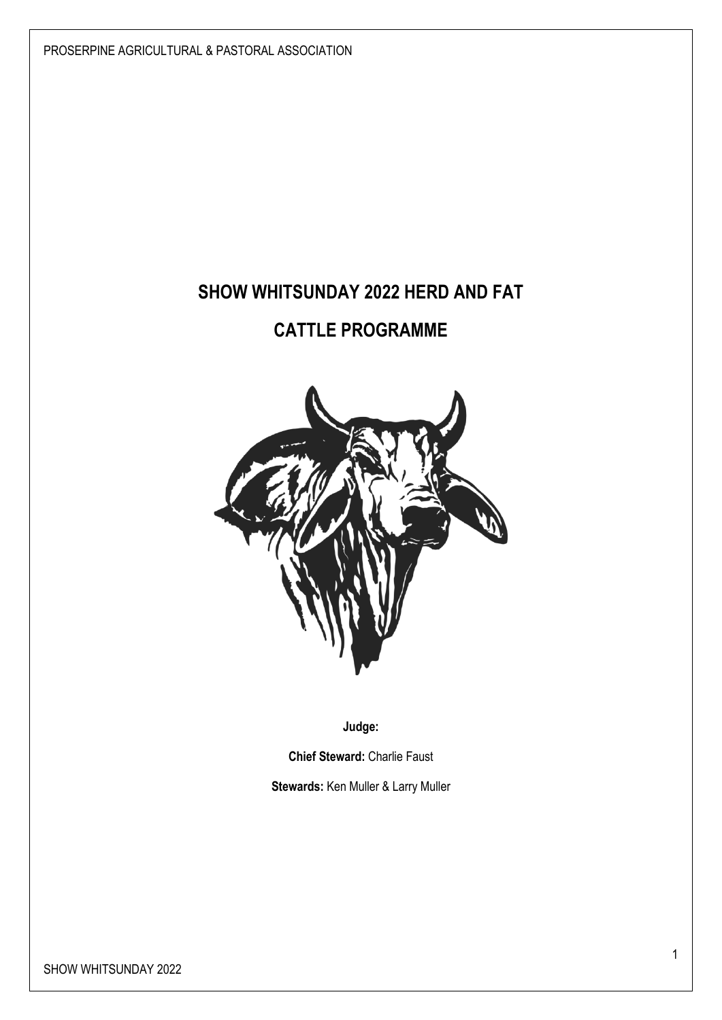PROSERPINE AGRICULTURAL & PASTORAL ASSOCIATION

# **SHOW WHITSUNDAY 2022 HERD AND FAT**

# **CATTLE PROGRAMME**



**Judge:** 

**Chief Steward:** Charlie Faust

**Stewards:** Ken Muller & Larry Muller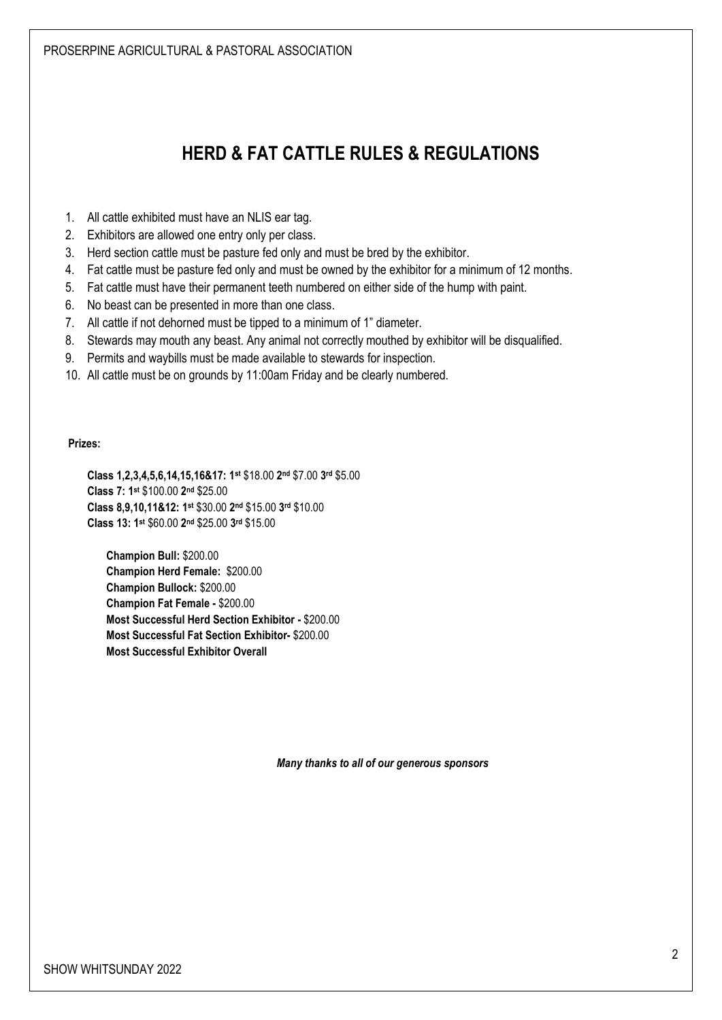# **HERD & FAT CATTLE RULES & REGULATIONS**

- 1. All cattle exhibited must have an NLIS ear tag.
- 2. Exhibitors are allowed one entry only per class.
- 3. Herd section cattle must be pasture fed only and must be bred by the exhibitor.
- 4. Fat cattle must be pasture fed only and must be owned by the exhibitor for a minimum of 12 months.
- 5. Fat cattle must have their permanent teeth numbered on either side of the hump with paint.
- 6. No beast can be presented in more than one class.
- 7. All cattle if not dehorned must be tipped to a minimum of 1" diameter.
- 8. Stewards may mouth any beast. Any animal not correctly mouthed by exhibitor will be disqualified.
- 9. Permits and waybills must be made available to stewards for inspection.
- 10. All cattle must be on grounds by 11:00am Friday and be clearly numbered.

#### **Prizes:**

**Class 1,2,3,4,5,6,14,15,16&17: 1st** \$18.00 **2 nd** \$7.00 **3 rd** \$5.00 **Class 7: 1st** \$100.00 **2 nd** \$25.00 **Class 8,9,10,11&12: 1 st** \$30.00 **2 nd** \$15.00 **3 rd** \$10.00 **Class 13: 1st** \$60.00 **2 nd** \$25.00 **3 rd** \$15.00

**Champion Bull:** \$200.00 **Champion Herd Female:** \$200.00 **Champion Bullock:** \$200.00 **Champion Fat Female -** \$200.00 **Most Successful Herd Section Exhibitor -** \$200.00 **Most Successful Fat Section Exhibitor-** \$200.00 **Most Successful Exhibitor Overall** 

*Many thanks to all of our generous sponsors*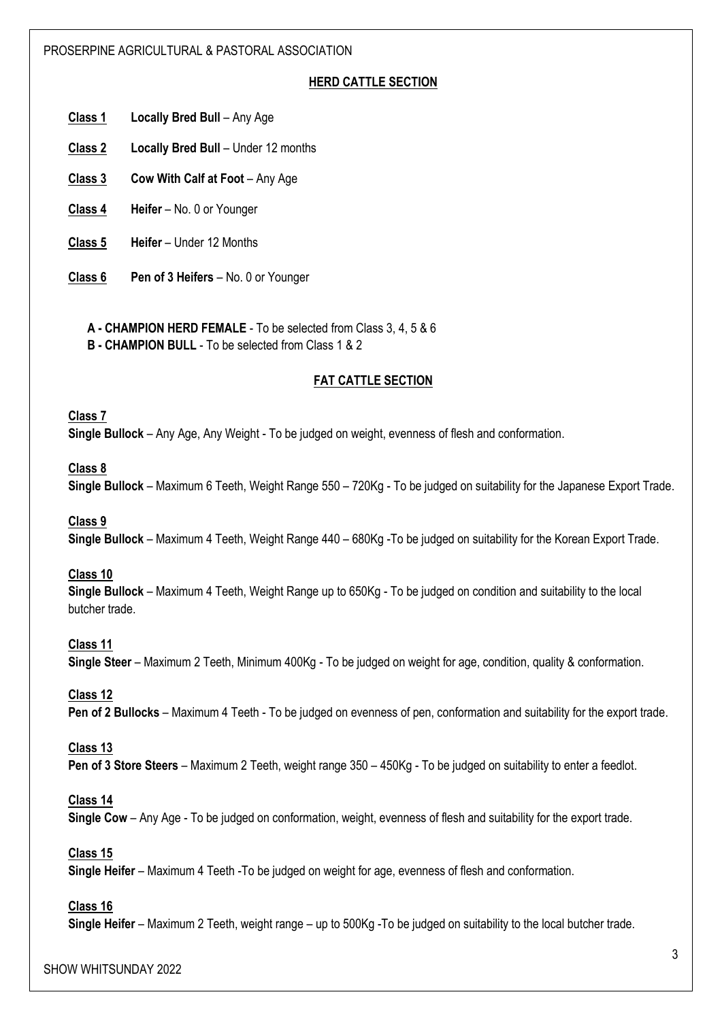#### PROSERPINE AGRICULTURAL & PASTORAL ASSOCIATION

# **HERD CATTLE SECTION**

**Class 1 Locally Bred Bull** – Any Age

- **Class 2 Locally Bred Bull** Under 12 months
- **Class 3 Cow With Calf at Foot** Any Age
- **Class 4 Heifer** No. 0 or Younger
- **Class 5 Heifer** Under 12 Months
- **Class 6 Pen of 3 Heifers** No. 0 or Younger
	- **A - CHAMPION HERD FEMALE** To be selected from Class 3, 4, 5 & 6
	- **B - CHAMPION BULL** To be selected from Class 1 & 2

# **FAT CATTLE SECTION**

## **Class 7**

**Single Bullock** – Any Age, Any Weight - To be judged on weight, evenness of flesh and conformation.

#### **Class 8**

**Single Bullock** – Maximum 6 Teeth, Weight Range 550 – 720Kg - To be judged on suitability for the Japanese Export Trade.

#### **Class 9**

**Single Bullock** – Maximum 4 Teeth, Weight Range 440 – 680Kg -To be judged on suitability for the Korean Export Trade.

#### **Class 10**

**Single Bullock** – Maximum 4 Teeth, Weight Range up to 650Kg - To be judged on condition and suitability to the local butcher trade.

#### **Class 11**

**Single Steer** – Maximum 2 Teeth, Minimum 400Kg - To be judged on weight for age, condition, quality & conformation.

#### **Class 12**

**Pen of 2 Bullocks** – Maximum 4 Teeth - To be judged on evenness of pen, conformation and suitability for the export trade.

#### **Class 13**

**Pen of 3 Store Steers** – Maximum 2 Teeth, weight range 350 – 450Kg - To be judged on suitability to enter a feedlot.

#### **Class 14**

**Single Cow** – Any Age - To be judged on conformation, weight, evenness of flesh and suitability for the export trade.

## **Class 15**

**Single Heifer** – Maximum 4 Teeth -To be judged on weight for age, evenness of flesh and conformation.

#### **Class 16**

**Single Heifer** – Maximum 2 Teeth, weight range – up to 500Kg -To be judged on suitability to the local butcher trade.

#### SHOW WHITSUNDAY 2022